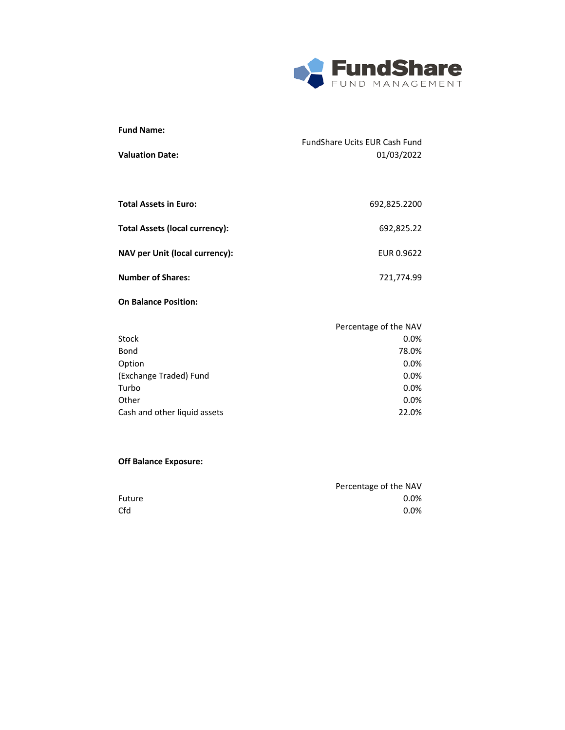

| <b>Fund Name:</b><br><b>Valuation Date:</b> | <b>FundShare Ucits EUR Cash Fund</b><br>01/03/2022 |
|---------------------------------------------|----------------------------------------------------|
| <b>Total Assets in Euro:</b>                | 692,825.2200                                       |
| Total Assets (local currency):              | 692,825.22                                         |
| NAV per Unit (local currency):              | EUR 0.9622                                         |
| <b>Number of Shares:</b>                    | 721,774.99                                         |
| <b>On Balance Position:</b>                 |                                                    |
|                                             | Percentage of the NAV                              |

|                              | <b>I</b> CICCIRCQ <sub>5</sub> C OF LITE IVAV |
|------------------------------|-----------------------------------------------|
| Stock                        | 0.0%                                          |
| Bond                         | 78.0%                                         |
| Option                       | 0.0%                                          |
| (Exchange Traded) Fund       | 0.0%                                          |
| Turbo                        | 0.0%                                          |
| Other                        | 0.0%                                          |
| Cash and other liquid assets | 22.0%                                         |
|                              |                                               |

|        | Percentage of the NAV |
|--------|-----------------------|
| Future | $0.0\%$               |
| Cfd    | $0.0\%$               |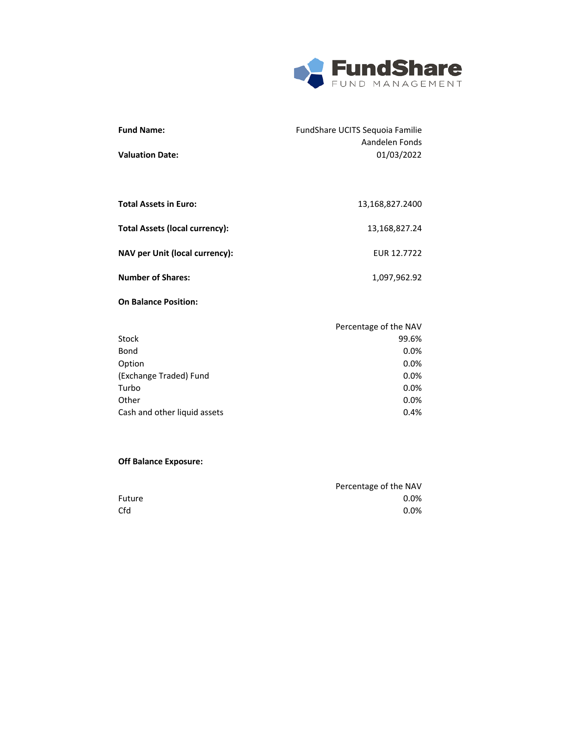

| <b>Fund Name:</b>                     | FundShare UCITS Sequoia Familie<br>Aandelen Fonds |
|---------------------------------------|---------------------------------------------------|
| <b>Valuation Date:</b>                | 01/03/2022                                        |
|                                       |                                                   |
|                                       |                                                   |
| <b>Total Assets in Euro:</b>          | 13,168,827.2400                                   |
| <b>Total Assets (local currency):</b> | 13,168,827.24                                     |
|                                       |                                                   |
| NAV per Unit (local currency):        | EUR 12.7722                                       |
| <b>Number of Shares:</b>              | 1,097,962.92                                      |
|                                       |                                                   |
| <b>On Balance Position:</b>           |                                                   |

|                              | Percentage of the NAV |
|------------------------------|-----------------------|
| Stock                        | 99.6%                 |
| Bond                         | 0.0%                  |
| Option                       | 0.0%                  |
| (Exchange Traded) Fund       | 0.0%                  |
| Turbo                        | 0.0%                  |
| Other                        | 0.0%                  |
| Cash and other liquid assets | 0.4%                  |

|        | Percentage of the NAV |
|--------|-----------------------|
| Future | $0.0\%$               |
| Cfd    | $0.0\%$               |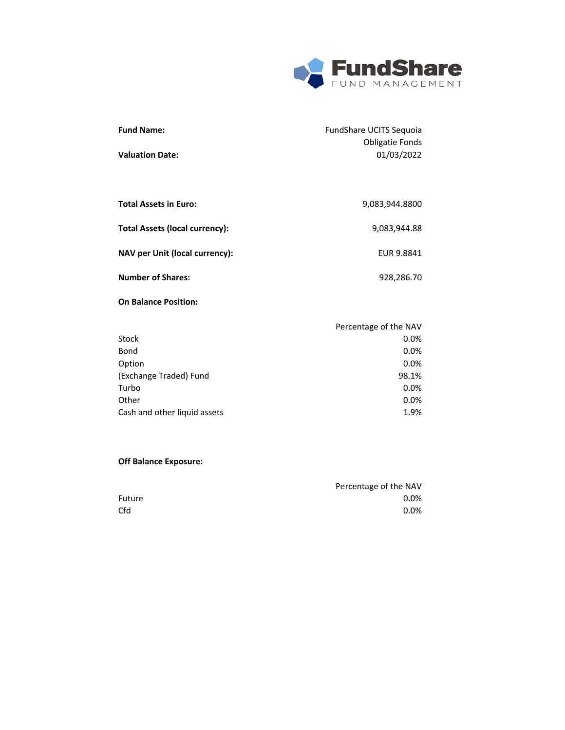

1.9%

| <b>Fund Name:</b>                     | FundShare UCITS Sequoia              |
|---------------------------------------|--------------------------------------|
| <b>Valuation Date:</b>                | <b>Obligatie Fonds</b><br>01/03/2022 |
|                                       |                                      |
| <b>Total Assets in Euro:</b>          | 9,083,944.8800                       |
| <b>Total Assets (local currency):</b> | 9,083,944.88                         |
| NAV per Unit (local currency):        | EUR 9.8841                           |
| <b>Number of Shares:</b>              | 928,286.70                           |
| <b>On Balance Position:</b>           |                                      |
|                                       | Percentage of the NAV                |
| Stock                                 | 0.0%                                 |
| Bond                                  | 0.0%                                 |
| Option                                | 0.0%                                 |
| (Exchange Traded) Fund                | 98.1%                                |
| Turbo                                 | 0.0%                                 |
| Other                                 | 0.0%                                 |

### **Off Balance Exposure:**

Cash and other liquid assets

|        | Percentage of the NAV |
|--------|-----------------------|
| Future | $0.0\%$               |
| Cfd    | $0.0\%$               |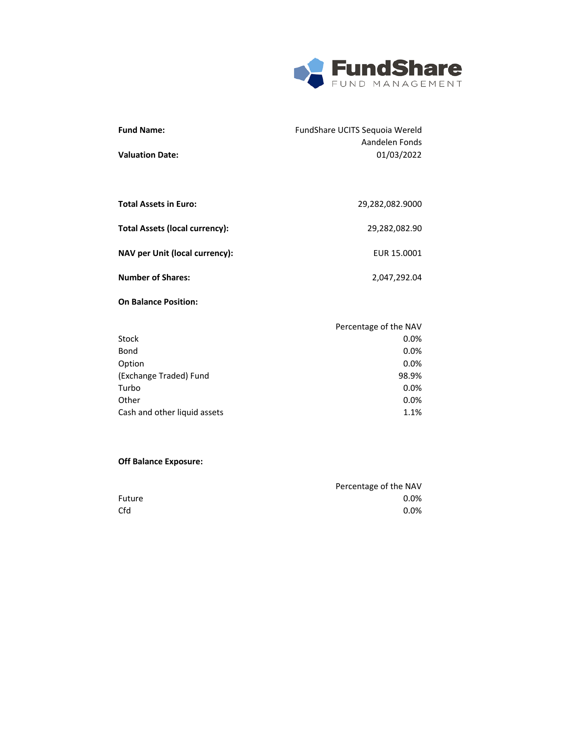

| <b>Fund Name:</b><br><b>Valuation Date:</b> | FundShare UCITS Sequoia Wereld<br>Aandelen Fonds<br>01/03/2022 |
|---------------------------------------------|----------------------------------------------------------------|
|                                             |                                                                |
| <b>Total Assets in Euro:</b>                | 29,282,082.9000                                                |
| <b>Total Assets (local currency):</b>       | 29,282,082.90                                                  |
| NAV per Unit (local currency):              | EUR 15.0001                                                    |
| <b>Number of Shares:</b>                    | 2,047,292.04                                                   |
| <b>On Balance Position:</b>                 |                                                                |

|                              | Percentage of the NAV |
|------------------------------|-----------------------|
| Stock                        | 0.0%                  |
| Bond                         | 0.0%                  |
| Option                       | 0.0%                  |
| (Exchange Traded) Fund       | 98.9%                 |
| Turbo                        | 0.0%                  |
| Other                        | 0.0%                  |
| Cash and other liquid assets | 1.1%                  |

|        | Percentage of the NAV |
|--------|-----------------------|
| Future | $0.0\%$               |
| Cfd    | $0.0\%$               |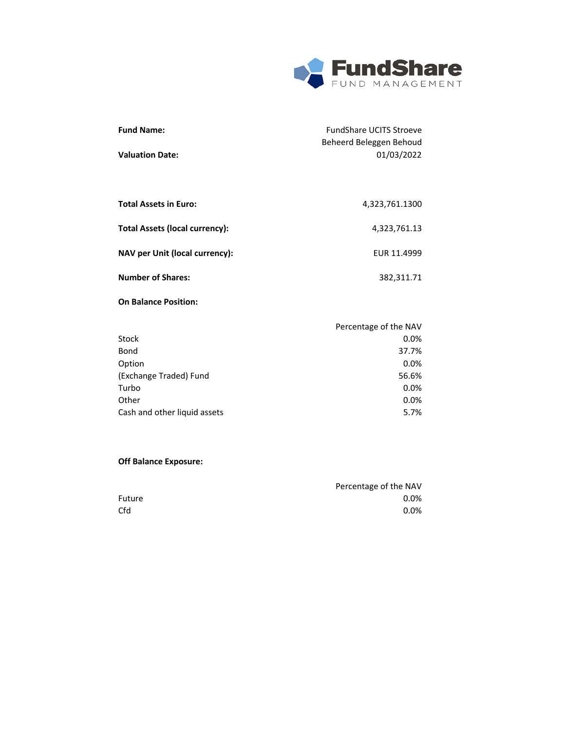

5.7%

| <b>Fund Name:</b>                     | <b>FundShare UCITS Stroeve</b> |
|---------------------------------------|--------------------------------|
|                                       | Beheerd Beleggen Behoud        |
| <b>Valuation Date:</b>                | 01/03/2022                     |
|                                       |                                |
| <b>Total Assets in Euro:</b>          | 4,323,761.1300                 |
| <b>Total Assets (local currency):</b> | 4,323,761.13                   |
| <b>NAV per Unit (local currency):</b> | EUR 11.4999                    |
| <b>Number of Shares:</b>              | 382,311.71                     |
| <b>On Balance Position:</b>           |                                |
|                                       | Percentage of the NAV          |
| Stock                                 | 0.0%                           |
| Bond                                  | 37.7%                          |
| Option                                | 0.0%                           |
| (Exchange Traded) Fund                | 56.6%                          |
| Turbo                                 | 0.0%                           |
| Other                                 | 0.0%                           |

# **Off Balance Exposure:**

Cash and other liquid assets

|        | Percentage of the NAV |
|--------|-----------------------|
| Future | $0.0\%$               |
| Cfd    | $0.0\%$               |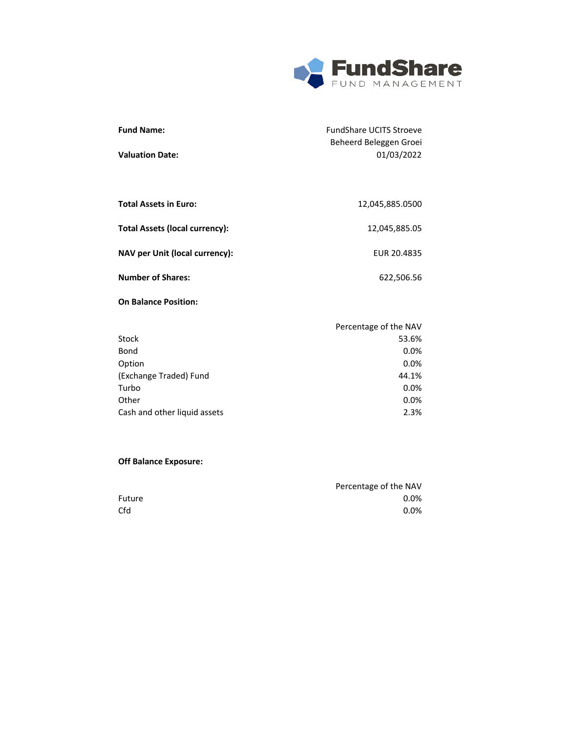

| <b>Fund Name:</b>                     | <b>FundShare UCITS Stroeve</b> |
|---------------------------------------|--------------------------------|
|                                       | Beheerd Beleggen Groei         |
| <b>Valuation Date:</b>                | 01/03/2022                     |
|                                       |                                |
|                                       |                                |
| <b>Total Assets in Euro:</b>          | 12,045,885.0500                |
| <b>Total Assets (local currency):</b> | 12,045,885.05                  |
|                                       |                                |
| NAV per Unit (local currency):        | EUR 20.4835                    |
| <b>Number of Shares:</b>              | 622,506.56                     |
| <b>On Balance Position:</b>           |                                |
|                                       |                                |
|                                       | Percentage of the NAV          |
| Stock                                 | 53.6%                          |
| Bond                                  | 0.0%                           |
| Option                                | 0.0%                           |
| (Exchange Traded) Fund                | 44.1%                          |
| Turbo                                 | 0.0%                           |
| Other                                 | 0.0%                           |
| Cash and other liquid assets          | 2.3%                           |

|        | Percentage of the NAV |
|--------|-----------------------|
| Future | $0.0\%$               |
| Cfd    | $0.0\%$               |